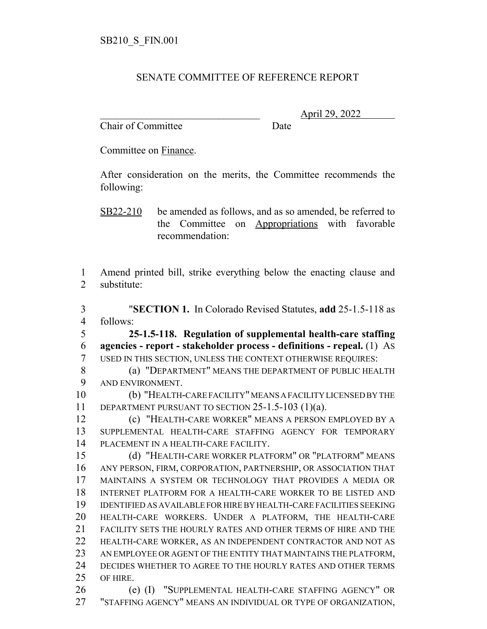## SENATE COMMITTEE OF REFERENCE REPORT

Chair of Committee Date

\_\_\_\_\_\_\_\_\_\_\_\_\_\_\_\_\_\_\_\_\_\_\_\_\_\_\_\_\_\_\_ April 29, 2022

Committee on Finance.

After consideration on the merits, the Committee recommends the following:

SB22-210 be amended as follows, and as so amended, be referred to the Committee on Appropriations with favorable recommendation:

 Amend printed bill, strike everything below the enacting clause and substitute:

 "**SECTION 1.** In Colorado Revised Statutes, **add** 25-1.5-118 as follows:

 **25-1.5-118. Regulation of supplemental health-care staffing agencies - report - stakeholder process - definitions - repeal.** (1) AS USED IN THIS SECTION, UNLESS THE CONTEXT OTHERWISE REQUIRES:

 (a) "DEPARTMENT" MEANS THE DEPARTMENT OF PUBLIC HEALTH AND ENVIRONMENT.

 (b) "HEALTH-CARE FACILITY" MEANS A FACILITY LICENSED BY THE DEPARTMENT PURSUANT TO SECTION 25-1.5-103 (1)(a).

 (c) "HEALTH-CARE WORKER" MEANS A PERSON EMPLOYED BY A SUPPLEMENTAL HEALTH-CARE STAFFING AGENCY FOR TEMPORARY PLACEMENT IN A HEALTH-CARE FACILITY.

 (d) "HEALTH-CARE WORKER PLATFORM" OR "PLATFORM" MEANS ANY PERSON, FIRM, CORPORATION, PARTNERSHIP, OR ASSOCIATION THAT MAINTAINS A SYSTEM OR TECHNOLOGY THAT PROVIDES A MEDIA OR INTERNET PLATFORM FOR A HEALTH-CARE WORKER TO BE LISTED AND IDENTIFIED AS AVAILABLE FOR HIRE BY HEALTH-CARE FACILITIES SEEKING HEALTH-CARE WORKERS. UNDER A PLATFORM, THE HEALTH-CARE FACILITY SETS THE HOURLY RATES AND OTHER TERMS OF HIRE AND THE HEALTH-CARE WORKER, AS AN INDEPENDENT CONTRACTOR AND NOT AS AN EMPLOYEE OR AGENT OF THE ENTITY THAT MAINTAINS THE PLATFORM, DECIDES WHETHER TO AGREE TO THE HOURLY RATES AND OTHER TERMS OF HIRE.

 (e) (I) "SUPPLEMENTAL HEALTH-CARE STAFFING AGENCY" OR "STAFFING AGENCY" MEANS AN INDIVIDUAL OR TYPE OF ORGANIZATION,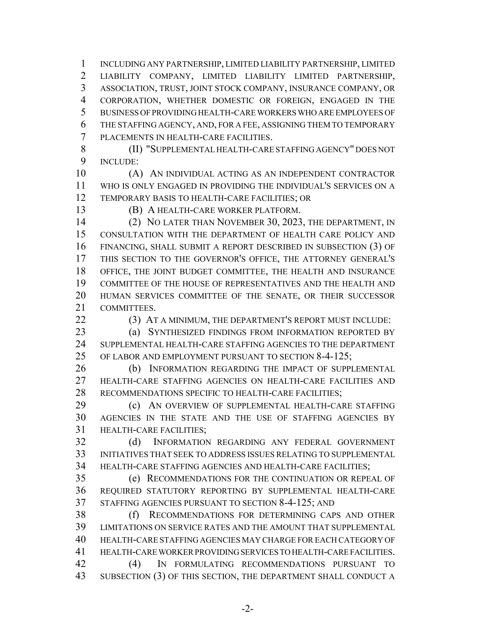INCLUDING ANY PARTNERSHIP, LIMITED LIABILITY PARTNERSHIP, LIMITED LIABILITY COMPANY, LIMITED LIABILITY LIMITED PARTNERSHIP, ASSOCIATION, TRUST, JOINT STOCK COMPANY, INSURANCE COMPANY, OR CORPORATION, WHETHER DOMESTIC OR FOREIGN, ENGAGED IN THE BUSINESS OF PROVIDING HEALTH-CARE WORKERS WHO ARE EMPLOYEES OF THE STAFFING AGENCY, AND, FOR A FEE, ASSIGNING THEM TO TEMPORARY PLACEMENTS IN HEALTH-CARE FACILITIES.

 (II) "SUPPLEMENTAL HEALTH-CARE STAFFING AGENCY" DOES NOT INCLUDE:

 (A) AN INDIVIDUAL ACTING AS AN INDEPENDENT CONTRACTOR WHO IS ONLY ENGAGED IN PROVIDING THE INDIVIDUAL'S SERVICES ON A TEMPORARY BASIS TO HEALTH-CARE FACILITIES; OR

(B) A HEALTH-CARE WORKER PLATFORM.

 (2) NO LATER THAN NOVEMBER 30, 2023, THE DEPARTMENT, IN CONSULTATION WITH THE DEPARTMENT OF HEALTH CARE POLICY AND FINANCING, SHALL SUBMIT A REPORT DESCRIBED IN SUBSECTION (3) OF THIS SECTION TO THE GOVERNOR'S OFFICE, THE ATTORNEY GENERAL'S OFFICE, THE JOINT BUDGET COMMITTEE, THE HEALTH AND INSURANCE COMMITTEE OF THE HOUSE OF REPRESENTATIVES AND THE HEALTH AND HUMAN SERVICES COMMITTEE OF THE SENATE, OR THEIR SUCCESSOR COMMITTEES.

**(3) AT A MINIMUM, THE DEPARTMENT'S REPORT MUST INCLUDE:** 

 (a) SYNTHESIZED FINDINGS FROM INFORMATION REPORTED BY SUPPLEMENTAL HEALTH-CARE STAFFING AGENCIES TO THE DEPARTMENT OF LABOR AND EMPLOYMENT PURSUANT TO SECTION 8-4-125;

 (b) INFORMATION REGARDING THE IMPACT OF SUPPLEMENTAL HEALTH-CARE STAFFING AGENCIES ON HEALTH-CARE FACILITIES AND RECOMMENDATIONS SPECIFIC TO HEALTH-CARE FACILITIES;

 (c) AN OVERVIEW OF SUPPLEMENTAL HEALTH-CARE STAFFING AGENCIES IN THE STATE AND THE USE OF STAFFING AGENCIES BY HEALTH-CARE FACILITIES;

 (d) INFORMATION REGARDING ANY FEDERAL GOVERNMENT INITIATIVES THAT SEEK TO ADDRESS ISSUES RELATING TO SUPPLEMENTAL HEALTH-CARE STAFFING AGENCIES AND HEALTH-CARE FACILITIES;

 (e) RECOMMENDATIONS FOR THE CONTINUATION OR REPEAL OF REQUIRED STATUTORY REPORTING BY SUPPLEMENTAL HEALTH-CARE STAFFING AGENCIES PURSUANT TO SECTION 8-4-125; AND

 (f) RECOMMENDATIONS FOR DETERMINING CAPS AND OTHER LIMITATIONS ON SERVICE RATES AND THE AMOUNT THAT SUPPLEMENTAL HEALTH-CARE STAFFING AGENCIES MAY CHARGE FOR EACH CATEGORY OF HEALTH-CARE WORKER PROVIDING SERVICES TO HEALTH-CARE FACILITIES. (4) IN FORMULATING RECOMMENDATIONS PURSUANT TO SUBSECTION (3) OF THIS SECTION, THE DEPARTMENT SHALL CONDUCT A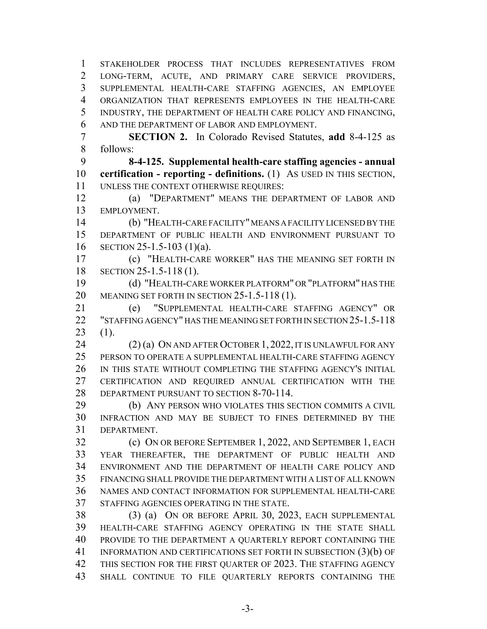STAKEHOLDER PROCESS THAT INCLUDES REPRESENTATIVES FROM LONG-TERM, ACUTE, AND PRIMARY CARE SERVICE PROVIDERS, SUPPLEMENTAL HEALTH-CARE STAFFING AGENCIES, AN EMPLOYEE ORGANIZATION THAT REPRESENTS EMPLOYEES IN THE HEALTH-CARE INDUSTRY, THE DEPARTMENT OF HEALTH CARE POLICY AND FINANCING, AND THE DEPARTMENT OF LABOR AND EMPLOYMENT.

 **SECTION 2.** In Colorado Revised Statutes, **add** 8-4-125 as follows:

 **8-4-125. Supplemental health-care staffing agencies - annual certification - reporting - definitions.** (1) AS USED IN THIS SECTION, UNLESS THE CONTEXT OTHERWISE REQUIRES:

 (a) "DEPARTMENT" MEANS THE DEPARTMENT OF LABOR AND EMPLOYMENT.

 (b) "HEALTH-CARE FACILITY" MEANS A FACILITY LICENSED BY THE DEPARTMENT OF PUBLIC HEALTH AND ENVIRONMENT PURSUANT TO SECTION 25-1.5-103 (1)(a).

 (c) "HEALTH-CARE WORKER" HAS THE MEANING SET FORTH IN SECTION 25-1.5-118 (1).

 (d) "HEALTH-CARE WORKER PLATFORM" OR "PLATFORM" HAS THE MEANING SET FORTH IN SECTION 25-1.5-118 (1).

 (e) "SUPPLEMENTAL HEALTH-CARE STAFFING AGENCY" OR "STAFFING AGENCY" HAS THE MEANING SET FORTH IN SECTION 25-1.5-118 (1).

 (2) (a) ON AND AFTER OCTOBER 1, 2022, IT IS UNLAWFUL FOR ANY PERSON TO OPERATE A SUPPLEMENTAL HEALTH-CARE STAFFING AGENCY IN THIS STATE WITHOUT COMPLETING THE STAFFING AGENCY'S INITIAL CERTIFICATION AND REQUIRED ANNUAL CERTIFICATION WITH THE DEPARTMENT PURSUANT TO SECTION 8-70-114.

 (b) ANY PERSON WHO VIOLATES THIS SECTION COMMITS A CIVIL INFRACTION AND MAY BE SUBJECT TO FINES DETERMINED BY THE DEPARTMENT.

 (c) ON OR BEFORE SEPTEMBER 1, 2022, AND SEPTEMBER 1, EACH YEAR THEREAFTER, THE DEPARTMENT OF PUBLIC HEALTH AND ENVIRONMENT AND THE DEPARTMENT OF HEALTH CARE POLICY AND FINANCING SHALL PROVIDE THE DEPARTMENT WITH A LIST OF ALL KNOWN NAMES AND CONTACT INFORMATION FOR SUPPLEMENTAL HEALTH-CARE STAFFING AGENCIES OPERATING IN THE STATE.

 (3) (a) ON OR BEFORE APRIL 30, 2023, EACH SUPPLEMENTAL HEALTH-CARE STAFFING AGENCY OPERATING IN THE STATE SHALL PROVIDE TO THE DEPARTMENT A QUARTERLY REPORT CONTAINING THE 41 INFORMATION AND CERTIFICATIONS SET FORTH IN SUBSECTION (3)(b) OF 42 THIS SECTION FOR THE FIRST QUARTER OF 2023. THE STAFFING AGENCY SHALL CONTINUE TO FILE QUARTERLY REPORTS CONTAINING THE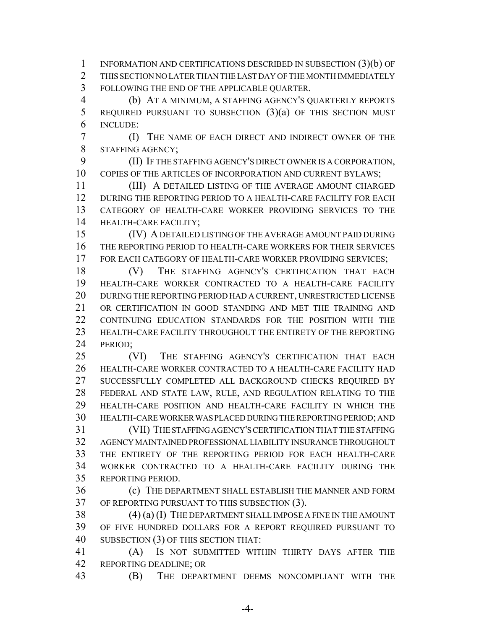INFORMATION AND CERTIFICATIONS DESCRIBED IN SUBSECTION (3)(b) OF THIS SECTION NO LATER THAN THE LAST DAY OF THE MONTH IMMEDIATELY FOLLOWING THE END OF THE APPLICABLE QUARTER.

 (b) AT A MINIMUM, A STAFFING AGENCY'S QUARTERLY REPORTS REQUIRED PURSUANT TO SUBSECTION (3)(a) OF THIS SECTION MUST INCLUDE:

 (I) THE NAME OF EACH DIRECT AND INDIRECT OWNER OF THE STAFFING AGENCY;

 (II) IF THE STAFFING AGENCY'S DIRECT OWNER IS A CORPORATION, 10 COPIES OF THE ARTICLES OF INCORPORATION AND CURRENT BYLAWS;

 (III) A DETAILED LISTING OF THE AVERAGE AMOUNT CHARGED DURING THE REPORTING PERIOD TO A HEALTH-CARE FACILITY FOR EACH CATEGORY OF HEALTH-CARE WORKER PROVIDING SERVICES TO THE HEALTH-CARE FACILITY;

 (IV) A DETAILED LISTING OF THE AVERAGE AMOUNT PAID DURING THE REPORTING PERIOD TO HEALTH-CARE WORKERS FOR THEIR SERVICES FOR EACH CATEGORY OF HEALTH-CARE WORKER PROVIDING SERVICES;

 (V) THE STAFFING AGENCY'S CERTIFICATION THAT EACH HEALTH-CARE WORKER CONTRACTED TO A HEALTH-CARE FACILITY DURING THE REPORTING PERIOD HAD A CURRENT, UNRESTRICTED LICENSE OR CERTIFICATION IN GOOD STANDING AND MET THE TRAINING AND CONTINUING EDUCATION STANDARDS FOR THE POSITION WITH THE HEALTH-CARE FACILITY THROUGHOUT THE ENTIRETY OF THE REPORTING 24 PERIOD:

 (VI) THE STAFFING AGENCY'S CERTIFICATION THAT EACH HEALTH-CARE WORKER CONTRACTED TO A HEALTH-CARE FACILITY HAD SUCCESSFULLY COMPLETED ALL BACKGROUND CHECKS REQUIRED BY FEDERAL AND STATE LAW, RULE, AND REGULATION RELATING TO THE HEALTH-CARE POSITION AND HEALTH-CARE FACILITY IN WHICH THE HEALTH-CARE WORKER WAS PLACED DURING THE REPORTING PERIOD; AND (VII) THE STAFFING AGENCY'S CERTIFICATION THAT THE STAFFING AGENCY MAINTAINED PROFESSIONAL LIABILITY INSURANCE THROUGHOUT THE ENTIRETY OF THE REPORTING PERIOD FOR EACH HEALTH-CARE

 WORKER CONTRACTED TO A HEALTH-CARE FACILITY DURING THE REPORTING PERIOD.

 (c) THE DEPARTMENT SHALL ESTABLISH THE MANNER AND FORM OF REPORTING PURSUANT TO THIS SUBSECTION (3).

 (4) (a) (I) THE DEPARTMENT SHALL IMPOSE A FINE IN THE AMOUNT OF FIVE HUNDRED DOLLARS FOR A REPORT REQUIRED PURSUANT TO SUBSECTION (3) OF THIS SECTION THAT:

 (A) IS NOT SUBMITTED WITHIN THIRTY DAYS AFTER THE REPORTING DEADLINE; OR

(B) THE DEPARTMENT DEEMS NONCOMPLIANT WITH THE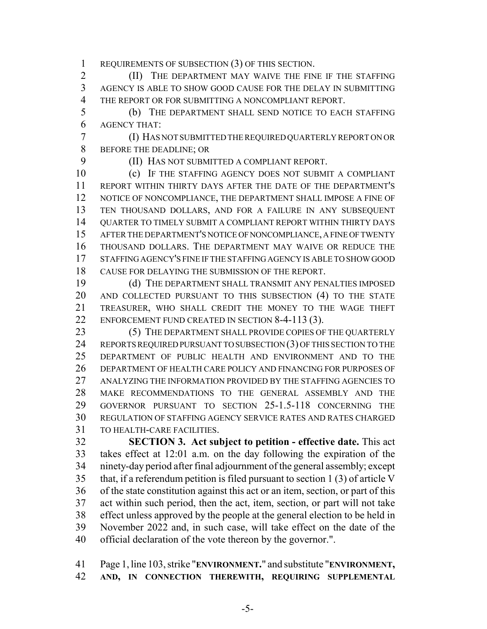REQUIREMENTS OF SUBSECTION (3) OF THIS SECTION.

**(II)** THE DEPARTMENT MAY WAIVE THE FINE IF THE STAFFING AGENCY IS ABLE TO SHOW GOOD CAUSE FOR THE DELAY IN SUBMITTING THE REPORT OR FOR SUBMITTING A NONCOMPLIANT REPORT.

 (b) THE DEPARTMENT SHALL SEND NOTICE TO EACH STAFFING AGENCY THAT:

 (I) HAS NOT SUBMITTED THE REQUIRED QUARTERLY REPORT ON OR BEFORE THE DEADLINE; OR

(II) HAS NOT SUBMITTED A COMPLIANT REPORT.

 (c) IF THE STAFFING AGENCY DOES NOT SUBMIT A COMPLIANT REPORT WITHIN THIRTY DAYS AFTER THE DATE OF THE DEPARTMENT'S NOTICE OF NONCOMPLIANCE, THE DEPARTMENT SHALL IMPOSE A FINE OF TEN THOUSAND DOLLARS, AND FOR A FAILURE IN ANY SUBSEQUENT QUARTER TO TIMELY SUBMIT A COMPLIANT REPORT WITHIN THIRTY DAYS AFTER THE DEPARTMENT'S NOTICE OF NONCOMPLIANCE, A FINE OF TWENTY THOUSAND DOLLARS. THE DEPARTMENT MAY WAIVE OR REDUCE THE STAFFING AGENCY'S FINE IF THE STAFFING AGENCY IS ABLE TO SHOW GOOD CAUSE FOR DELAYING THE SUBMISSION OF THE REPORT.

 (d) THE DEPARTMENT SHALL TRANSMIT ANY PENALTIES IMPOSED AND COLLECTED PURSUANT TO THIS SUBSECTION (4) TO THE STATE TREASURER, WHO SHALL CREDIT THE MONEY TO THE WAGE THEFT 22 ENFORCEMENT FUND CREATED IN SECTION 8-4-113 (3).

 (5) THE DEPARTMENT SHALL PROVIDE COPIES OF THE QUARTERLY 24 REPORTS REQUIRED PURSUANT TO SUBSECTION (3) OF THIS SECTION TO THE DEPARTMENT OF PUBLIC HEALTH AND ENVIRONMENT AND TO THE DEPARTMENT OF HEALTH CARE POLICY AND FINANCING FOR PURPOSES OF ANALYZING THE INFORMATION PROVIDED BY THE STAFFING AGENCIES TO MAKE RECOMMENDATIONS TO THE GENERAL ASSEMBLY AND THE GOVERNOR PURSUANT TO SECTION 25-1.5-118 CONCERNING THE REGULATION OF STAFFING AGENCY SERVICE RATES AND RATES CHARGED TO HEALTH-CARE FACILITIES.

 **SECTION 3. Act subject to petition - effective date.** This act takes effect at 12:01 a.m. on the day following the expiration of the ninety-day period after final adjournment of the general assembly; except that, if a referendum petition is filed pursuant to section 1 (3) of article V of the state constitution against this act or an item, section, or part of this act within such period, then the act, item, section, or part will not take effect unless approved by the people at the general election to be held in November 2022 and, in such case, will take effect on the date of the official declaration of the vote thereon by the governor.".

 Page 1, line 103, strike "**ENVIRONMENT.**" and substitute "**ENVIRONMENT, AND, IN CONNECTION THEREWITH, REQUIRING SUPPLEMENTAL**